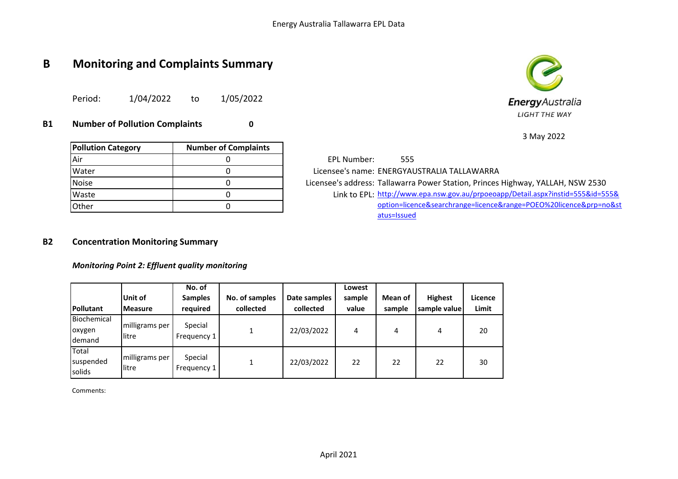# **B Monitoring and Complaints Summary**

Period: 1/04/2022 to 1/05/2022

**B1 Number of Pollution Complaints 0**

|                           |                             | 3 May 2022                                                                      |
|---------------------------|-----------------------------|---------------------------------------------------------------------------------|
| <b>Pollution Category</b> | <b>Number of Complaints</b> |                                                                                 |
| lAir                      |                             | EPL Number:<br>555                                                              |
| <b>Water</b>              |                             | Licensee's name: ENERGYAUSTRALIA TALLAWARRA                                     |
| <b>Noise</b>              |                             | Licensee's address: Tallawarra Power Station, Princes Highway, YALLAH, NSW 2530 |
| Waste                     |                             | Link to EPL: http://www.epa.nsw.gov.au/prpoeoapp/Detail.aspx?instid=555&id=555& |
| <b>Other</b>              |                             | option=licence&searchrange=licence⦥=POEO%20licence&prp=no&st                    |
|                           |                             | atus=Issued                                                                     |

### **B2 Concentration Monitoring Summary**

*Monitoring Point 2: Effluent quality monitoring*

| Pollutant                              | Unit of<br>Measure      | No. of<br><b>Samples</b><br>required | No. of samples<br>collected | Date samples<br>collected | Lowest<br>sample<br>value | Mean of<br>sample | <b>Highest</b><br>sample value | Licence<br><b>Limit</b> |
|----------------------------------------|-------------------------|--------------------------------------|-----------------------------|---------------------------|---------------------------|-------------------|--------------------------------|-------------------------|
| Biochemical<br>oxygen<br><b>demand</b> | milligrams per<br>litre | Special<br>Frequency 1               |                             | 22/03/2022                | 4                         | 4                 | 4                              | 20                      |
| Total<br>Isuspended<br><b>solids</b>   | milligrams per<br>litre | Special<br>Frequency 1               |                             | 22/03/2022                | 22                        | 22                | 22                             | 30                      |

Comments:



 $2022$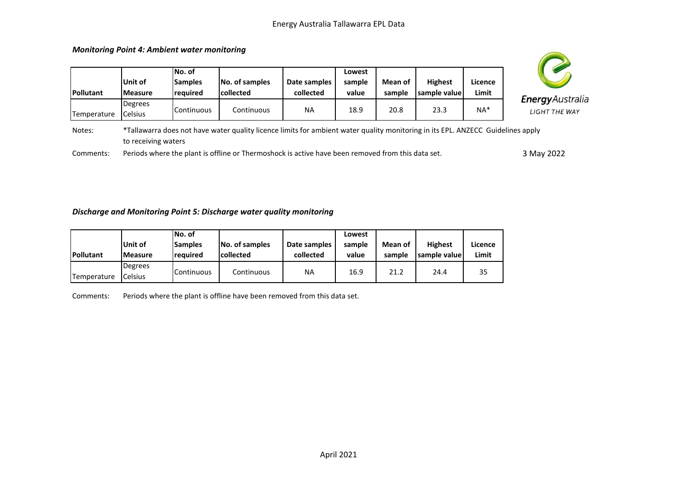**Unit of Measure No. of Samples required No. of samples collected Date samples collected Lowest sample value Mean of sample Highest sample value Licence Limit Temperature** Degrees Celsius Continuous Continuous NA 18.9 20.8 23.3 NA\* \*Tallawarra does not have water quality licence limits for ambient water quality monitoring in its EPL. ANZECC Guidelines apply



Notes: to receiving waters

Comments: Periods where the plant is offline or Thermoshock is active have been removed from this data set.

3 May 2022

#### *Discharge and Monitoring Point 5: Discharge water quality monitoring*

*Monitoring Point 4: Ambient water monitoring*

**Pollutant**

|                  |                 | INo. of         |                  |              | Lowest |         |                |         |
|------------------|-----------------|-----------------|------------------|--------------|--------|---------|----------------|---------|
|                  | Unit of         | <b>Samples</b>  | No. of samples   | Date samples | sample | Mean of | <b>Highest</b> | Licence |
| <b>Pollutant</b> | <b>IMeasure</b> | <b>reguired</b> | <b>collected</b> | collected    | value  | sample  | sample valuel  | Limit   |
|                  | <b>Degrees</b>  |                 |                  |              |        |         |                |         |
| Temperature      | <b>Celsius</b>  | Continuous      | Continuous       | ΝA           | 16.9   | 21.2    | 24.4           | 35      |

Comments: Periods where the plant is offline have been removed from this data set.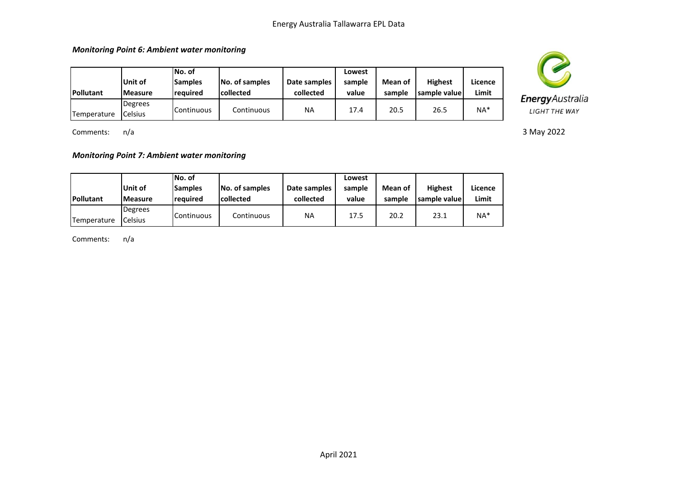*Monitoring Point 6: Ambient water monitoring*

| <b>IPollutant</b> | Unit of<br><b>Measure</b> | lNo. of<br><b>Samples</b><br><b>reguired</b> | No. of samples<br><b>collected</b> | Date samples<br>collected | Lowest<br>sample<br>value | Mean of<br>sample | <b>Highest</b><br>sample valuel | Licence<br>Limit |
|-------------------|---------------------------|----------------------------------------------|------------------------------------|---------------------------|---------------------------|-------------------|---------------------------------|------------------|
| Temperature       | Degrees<br><b>Celsius</b> | <b>Continuous</b>                            | Continuous                         | <b>NA</b>                 | 17.4                      | 20.5              | 26.5                            | $NA*$            |

Comments: n/a

*Monitoring Point 7: Ambient water monitoring*

| <b>Pollutant</b> | Unit of<br><b>Measure</b> | INo. of<br><b>Samples</b><br>required | No. of samples<br><b>collected</b> | Date samples<br>collected | Lowest<br>sample<br>value | Mean of<br>sample | <b>Highest</b><br>sample valuel | Licence<br>Limit |
|------------------|---------------------------|---------------------------------------|------------------------------------|---------------------------|---------------------------|-------------------|---------------------------------|------------------|
| Temperature      | Degrees<br>Celsius        | Continuous                            | Continuous                         | NA                        | 17.5                      | 20.2              | 23.1                            | $NA*$            |

Comments: n/a



3 May 2022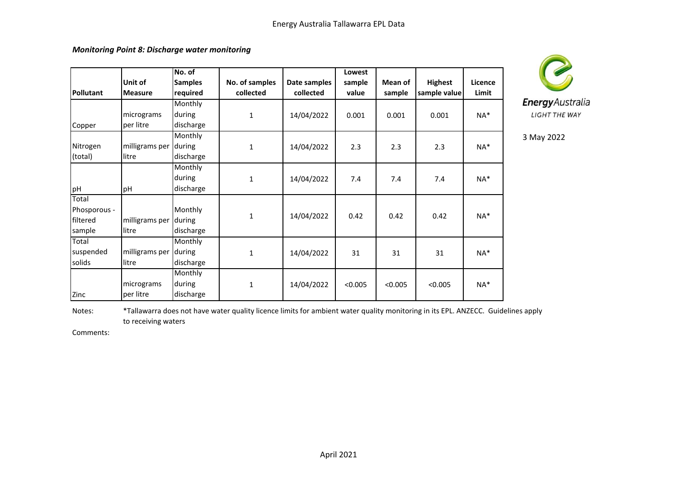*Monitoring Point 8: Discharge water monitoring*

|                  |                | No. of         |                |              | Lowest  |         |                |         |
|------------------|----------------|----------------|----------------|--------------|---------|---------|----------------|---------|
|                  | Unit of        | <b>Samples</b> | No. of samples | Date samples | sample  | Mean of | <b>Highest</b> | Licence |
| <b>Pollutant</b> | <b>Measure</b> | required       | collected      | collected    | value   | sample  | sample value   | Limit   |
|                  |                | Monthly        |                |              |         |         |                |         |
|                  | micrograms     | during         | 1              | 14/04/2022   | 0.001   | 0.001   | 0.001          | $NA^*$  |
| Copper           | per litre      | discharge      |                |              |         |         |                |         |
|                  |                | Monthly        |                |              |         |         |                |         |
| Nitrogen         | milligrams per | during         | 1              | 14/04/2022   | 2.3     | 2.3     | 2.3            | $NA^*$  |
| (total)          | litre          | discharge      |                |              |         |         |                |         |
|                  |                | Monthly        |                |              |         |         |                |         |
|                  |                | during         | 1              | 14/04/2022   | 7.4     | 7.4     | 7.4            | $NA^*$  |
| pH               | pH             | discharge      |                |              |         |         |                |         |
| Total            |                |                |                |              |         |         |                |         |
| Phosporous -     |                | Monthly        | $\mathbf{1}$   |              | 0.42    | 0.42    | 0.42           | $NA^*$  |
| filtered         | milligrams per | during         |                | 14/04/2022   |         |         |                |         |
| sample           | litre          | discharge      |                |              |         |         |                |         |
| Total            |                | Monthly        |                |              |         |         |                |         |
| suspended        | milligrams per | during         | $\mathbf{1}$   | 14/04/2022   | 31      | 31      | 31             | $NA^*$  |
| solids           | litre          | discharge      |                |              |         |         |                |         |
|                  |                | Monthly        |                |              |         |         |                |         |
|                  | micrograms     | during         | 1              | 14/04/2022   | < 0.005 | < 0.005 | < 0.005        | NA*     |
| Zinc             | per litre      | discharge      |                |              |         |         |                |         |



3 May 2022

Notes: \*Tallawarra does not have water quality licence limits for ambient water quality monitoring in its EPL. ANZECC. Guidelines apply to receiving waters

Comments: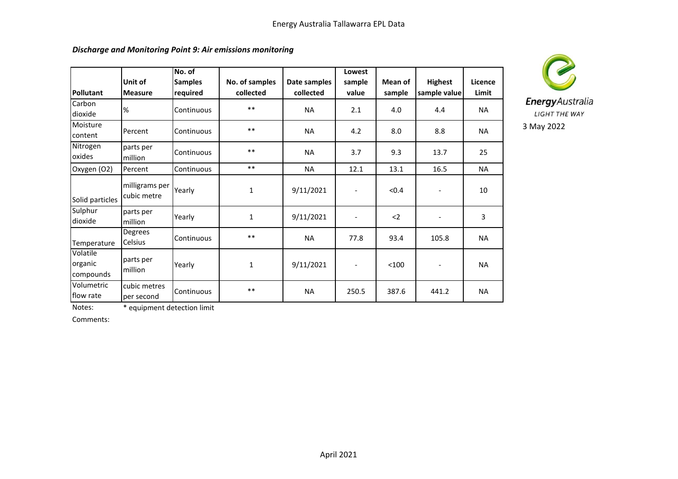## *Discharge and Monitoring Point 9: Air emissions monitoring*

| <b>Pollutant</b>                 | Unit of<br><b>Measure</b>     | No. of<br><b>Samples</b><br>required | No. of samples<br>collected | Date samples<br>collected | Lowest<br>sample<br>value | Mean of<br>sample | <b>Highest</b><br>sample value | Licence<br>Limit |
|----------------------------------|-------------------------------|--------------------------------------|-----------------------------|---------------------------|---------------------------|-------------------|--------------------------------|------------------|
| Carbon<br>dioxide                | %                             | Continuous                           | $***$                       | <b>NA</b>                 | 2.1                       | 4.0               | 4.4                            | <b>NA</b>        |
| Moisture<br>content              | Percent                       | Continuous                           | $***$                       | <b>NA</b>                 | 4.2                       | 8.0               | 8.8                            | <b>NA</b>        |
| Nitrogen<br>oxides               | parts per<br>million          | Continuous                           | $***$                       | <b>NA</b>                 | 3.7                       | 9.3               | 13.7                           | 25               |
| Oxygen (O2)                      | Percent                       | Continuous                           | $***$                       | <b>NA</b>                 | 12.1                      | 13.1              | 16.5                           | <b>NA</b>        |
| Solid particles                  | milligrams per<br>cubic metre | Yearly                               | 1                           | 9/11/2021                 |                           | < 0.4             | $\overline{\phantom{a}}$       | 10               |
| Sulphur<br>dioxide               | parts per<br>million          | Yearly                               | 1                           | 9/11/2021                 | $\overline{\phantom{a}}$  | $2$               | $\overline{\phantom{a}}$       | 3                |
| Temperature                      | Degrees<br>Celsius            | Continuous                           | $***$                       | <b>NA</b>                 | 77.8                      | 93.4              | 105.8                          | <b>NA</b>        |
| Volatile<br>organic<br>compounds | parts per<br>million          | Yearly                               | 1                           | 9/11/2021                 | $\overline{\phantom{a}}$  | < 100             | $\overline{\phantom{a}}$       | <b>NA</b>        |
| Volumetric<br>flow rate          | cubic metres<br>per second    | Continuous                           | $***$                       | <b>NA</b>                 | 250.5                     | 387.6             | 441.2                          | <b>NA</b>        |



Notes: \* equipment detection limit

Comments: